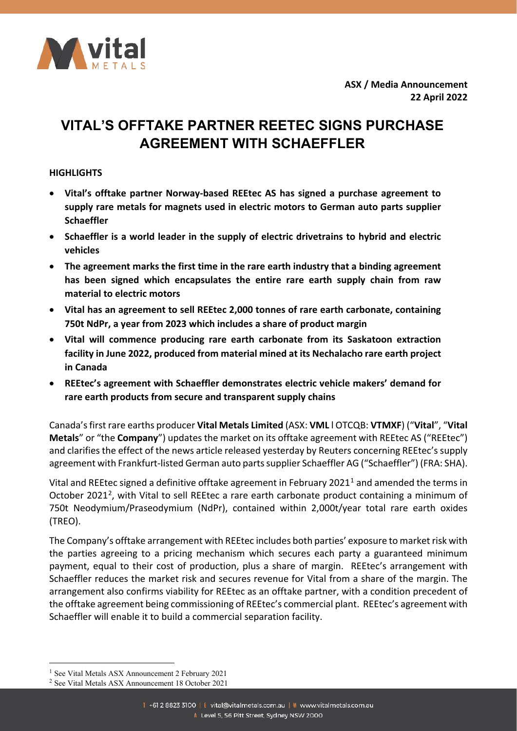

**ASX / Media Announcement 22 April 2022**

# **VITAL'S OFFTAKE PARTNER REETEC SIGNS PURCHASE AGREEMENT WITH SCHAEFFLER**

### **HIGHLIGHTS**

- **Vital's offtake partner Norway-based REEtec AS has signed a purchase agreement to supply rare metals for magnets used in electric motors to German auto parts supplier Schaeffler**
- **Schaeffler is a world leader in the supply of electric drivetrains to hybrid and electric vehicles**
- **The agreement marks the first time in the rare earth industry that a binding agreement has been signed which encapsulates the entire rare earth supply chain from raw material to electric motors**
- **Vital has an agreement to sell REEtec 2,000 tonnes of rare earth carbonate, containing 750t NdPr, a year from 2023 which includes a share of product margin**
- **Vital will commence producing rare earth carbonate from its Saskatoon extraction facility in June 2022, produced from material mined at its Nechalacho rare earth project in Canada**
- **REEtec's agreement with Schaeffler demonstrates electric vehicle makers' demand for rare earth products from secure and transparent supply chains**

Canada'sfirst rare earths producer **Vital Metals Limited** (ASX: **VML** l OTCQB: **VTMXF**) ("**Vital**", "**Vital Metals**" or "the **Company**") updates the market on its offtake agreement with REEtec AS ("REEtec") and clarifies the effect of the news article released yesterday by Reuters concerning REEtec's supply agreement with Frankfurt-listed German auto parts supplier Schaeffler AG ("Schaeffler") (FRA: SHA).

Vital and REEtec signed a definitive offtake agreement in February 202[1](#page-0-0)<sup>1</sup> and amended the terms in October [2](#page-0-1)021<sup>2</sup>, with Vital to sell REEtec a rare earth carbonate product containing a minimum of 750t Neodymium/Praseodymium (NdPr), contained within 2,000t/year total rare earth oxides (TREO).

The Company's offtake arrangement with REEtec includes both parties' exposure to market risk with the parties agreeing to a pricing mechanism which secures each party a guaranteed minimum payment, equal to their cost of production, plus a share of margin. REEtec's arrangement with Schaeffler reduces the market risk and secures revenue for Vital from a share of the margin. The arrangement also confirms viability for REEtec as an offtake partner, with a condition precedent of the offtake agreement being commissioning of REEtec's commercial plant. REEtec's agreement with Schaeffler will enable it to build a commercial separation facility.

 $\overline{a}$ 

<span id="page-0-0"></span><sup>1</sup> See Vital Metals ASX Announcement 2 February 2021

<span id="page-0-1"></span><sup>2</sup> See Vital Metals ASX Announcement 18 October 2021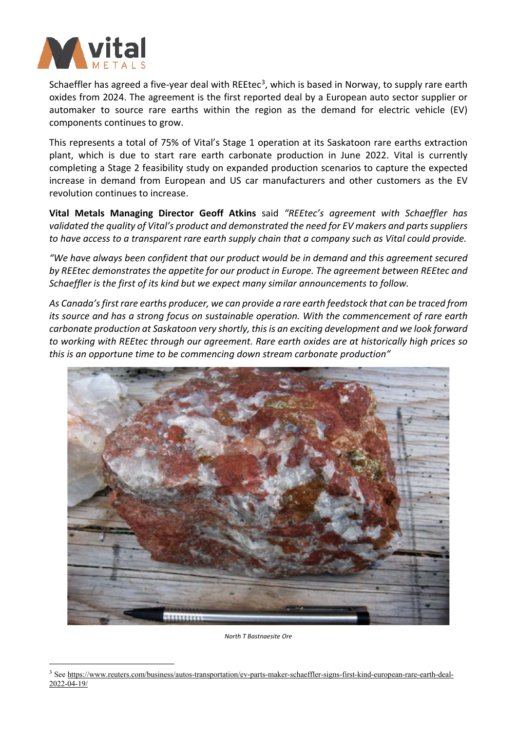

 $\overline{a}$ 

Schaeffler has agreed a five-year deal with REEtec<sup>[3](#page-1-0)</sup>, which is based in Norway, to supply rare earth oxides from 2024. The agreement is the first reported deal by a European auto sector supplier or automaker to source rare earths within the region as the demand for electric vehicle (EV) components continues to grow.

This represents a total of 75% of Vital's Stage 1 operation at its Saskatoon rare earths extraction plant, which is due to start rare earth carbonate production in June 2022. Vital is currently completing a Stage 2 feasibility study on expanded production scenarios to capture the expected increase in demand from European and US car manufacturers and other customers as the EV revolution continues to increase.

**Vital Metals Managing Director Geoff Atkins** said *"REEtec's agreement with Schaeffler has validated the quality of Vital's product and demonstrated the need for EV makers and partssuppliers to have access to a transparent rare earth supply chain that a company such as Vital could provide.*

*"We have always been confident that our product would be in demand and this agreement secured by REEtec demonstrates the appetite for our product in Europe. The agreement between REEtec and Schaeffler is the first of its kind but we expect many similar announcements to follow.*

*As Canada'sfirst rare earths producer, we can provide a rare earth feedstock that can be traced from its source and has a strong focus on sustainable operation. With the commencement of rare earth carbonate production at Saskatoon very shortly, thisis an exciting development and we look forward to working with REEtec through our agreement. Rare earth oxides are at historically high prices so this is an opportune time to be commencing down stream carbonate production"* 



*North T Bastnaesite Ore* 

<span id="page-1-0"></span><sup>3</sup> Se[e https://www.reuters.com/business/autos-transportation/ev-parts-maker-schaeffler-signs-first-kind-european-rare-earth-deal-](https://www.reuters.com/business/autos-transportation/ev-parts-maker-schaeffler-signs-first-kind-european-rare-earth-deal-2022-04-19/) $2022 - 04 - 19/$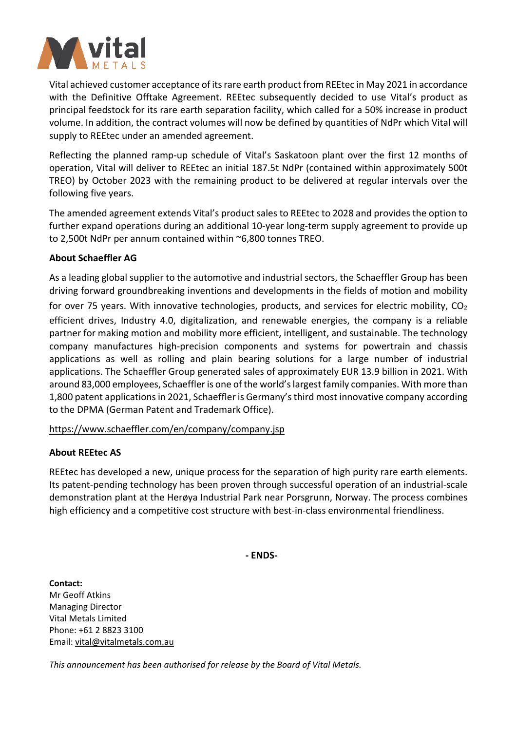

Vital achieved customer acceptance of its rare earth product from REEtec in May 2021 in accordance with the Definitive Offtake Agreement. REEtec subsequently decided to use Vital's product as principal feedstock for its rare earth separation facility, which called for a 50% increase in product volume. In addition, the contract volumes will now be defined by quantities of NdPr which Vital will supply to REEtec under an amended agreement.

Reflecting the planned ramp-up schedule of Vital's Saskatoon plant over the first 12 months of operation, Vital will deliver to REEtec an initial 187.5t NdPr (contained within approximately 500t TREO) by October 2023 with the remaining product to be delivered at regular intervals over the following five years.

The amended agreement extends Vital's product sales to REEtec to 2028 and provides the option to further expand operations during an additional 10-year long-term supply agreement to provide up to 2,500t NdPr per annum contained within ~6,800 tonnes TREO.

### **About Schaeffler AG**

As a leading global supplier to the automotive and industrial sectors, the Schaeffler Group has been driving forward groundbreaking inventions and developments in the fields of motion and mobility

for over 75 years. With innovative technologies, products, and services for electric mobility,  $CO<sub>2</sub>$ efficient drives, Industry 4.0, digitalization, and renewable energies, the company is a reliable partner for making motion and mobility more efficient, intelligent, and sustainable. The technology company manufactures high-precision components and systems for powertrain and chassis applications as well as rolling and plain bearing solutions for a large number of industrial applications. The Schaeffler Group generated sales of approximately EUR 13.9 billion in 2021. With around 83,000 employees, Schaeffler is one of the world'slargest family companies. With more than 1,800 patent applicationsin 2021, Schaeffler is Germany's third most innovative company according to the DPMA (German Patent and Trademark Office).

# <https://www.schaeffler.com/en/company/company.jsp>

# **About REEtec AS**

REEtec has developed a new, unique process for the separation of high purity rare earth elements. Its patent-pending technology has been proven through successful operation of an industrial-scale demonstration plant at the Herøya Industrial Park near Porsgrunn, Norway. The process combines high efficiency and a competitive cost structure with best-in-class environmental friendliness.

**- ENDS-**

**Contact:** Mr Geoff Atkins Managing Director Vital Metals Limited Phone: +61 2 8823 3100 Email[: vital@vitalmetals.com.au](mailto:vital@vitalmetals.com.au)

*This announcement has been authorised for release by the Board of Vital Metals.*